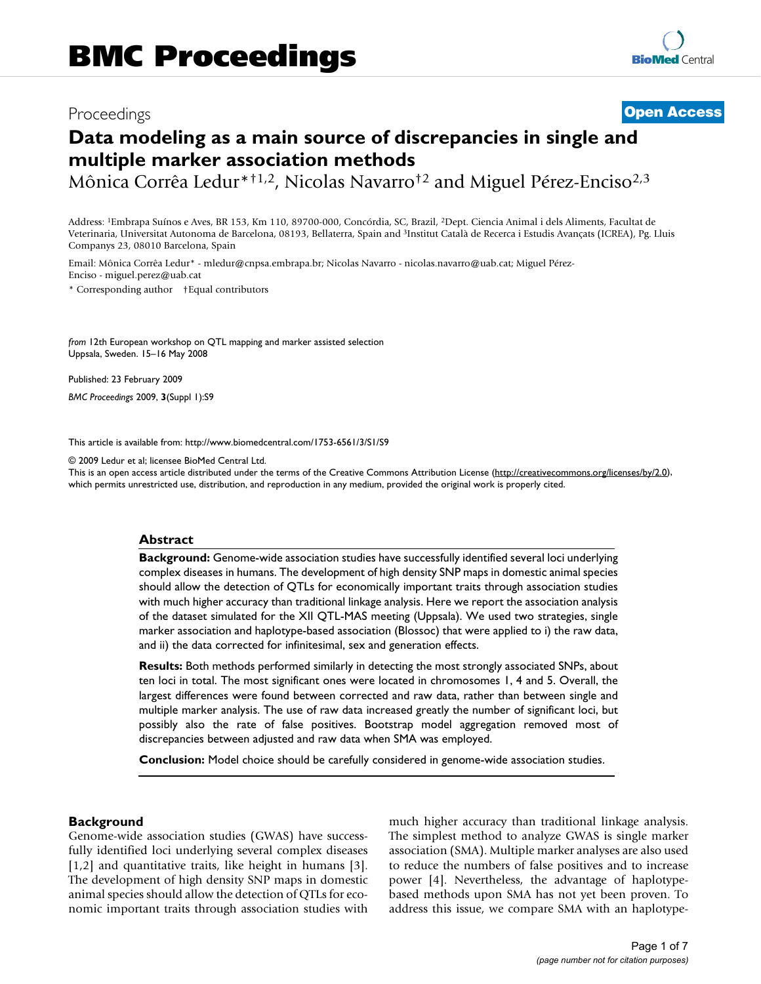## Proceedings **[Open Access](http://www.biomedcentral.com/info/about/charter/)**

# **Data modeling as a main source of discrepancies in single and multiple marker association methods**

Mônica Corrêa Ledur\*†1,2, Nicolas Navarro†2 and Miguel Pérez-Enciso2,3

Address: 1Embrapa Suínos e Aves, BR 153, Km 110, 89700-000, Concórdia, SC, Brazil, 2Dept. Ciencia Animal i dels Aliments, Facultat de Veterinaria, Universitat Autonoma de Barcelona, 08193, Bellaterra, Spain and 3Institut Català de Recerca i Estudis Avançats (ICREA), Pg. Lluis Companys 23, 08010 Barcelona, Spain

Email: Mônica Corrêa Ledur\* - mledur@cnpsa.embrapa.br; Nicolas Navarro - nicolas.navarro@uab.cat; Miguel Pérez-Enciso - miguel.perez@uab.cat

\* Corresponding author †Equal contributors

*from* 12th European workshop on QTL mapping and marker assisted selection Uppsala, Sweden. 15–16 May 2008

Published: 23 February 2009 *BMC Proceedings* 2009, **3**(Suppl 1):S9

[This article is available from: http://www.biomedcentral.com/1753-6561/3/S1/S9](http://www.biomedcentral.com/1753-6561/3/S1/S9)

© 2009 Ledur et al; licensee BioMed Central Ltd.

This is an open access article distributed under the terms of the Creative Commons Attribution License [\(http://creativecommons.org/licenses/by/2.0\)](http://creativecommons.org/licenses/by/2.0), which permits unrestricted use, distribution, and reproduction in any medium, provided the original work is properly cited.

#### **Abstract**

**Background:** Genome-wide association studies have successfully identified several loci underlying complex diseases in humans. The development of high density SNP maps in domestic animal species should allow the detection of QTLs for economically important traits through association studies with much higher accuracy than traditional linkage analysis. Here we report the association analysis of the dataset simulated for the XII QTL-MAS meeting (Uppsala). We used two strategies, single marker association and haplotype-based association (Blossoc) that were applied to i) the raw data, and ii) the data corrected for infinitesimal, sex and generation effects.

**Results:** Both methods performed similarly in detecting the most strongly associated SNPs, about ten loci in total. The most significant ones were located in chromosomes 1, 4 and 5. Overall, the largest differences were found between corrected and raw data, rather than between single and multiple marker analysis. The use of raw data increased greatly the number of significant loci, but possibly also the rate of false positives. Bootstrap model aggregation removed most of discrepancies between adjusted and raw data when SMA was employed.

**Conclusion:** Model choice should be carefully considered in genome-wide association studies.

#### **Background**

Genome-wide association studies (GWAS) have successfully identified loci underlying several complex diseases [1,2] and quantitative traits, like height in humans [3]. The development of high density SNP maps in domestic animal species should allow the detection of QTLs for economic important traits through association studies with much higher accuracy than traditional linkage analysis. The simplest method to analyze GWAS is single marker association (SMA). Multiple marker analyses are also used to reduce the numbers of false positives and to increase power [4]. Nevertheless, the advantage of haplotypebased methods upon SMA has not yet been proven. To address this issue, we compare SMA with an haplotype-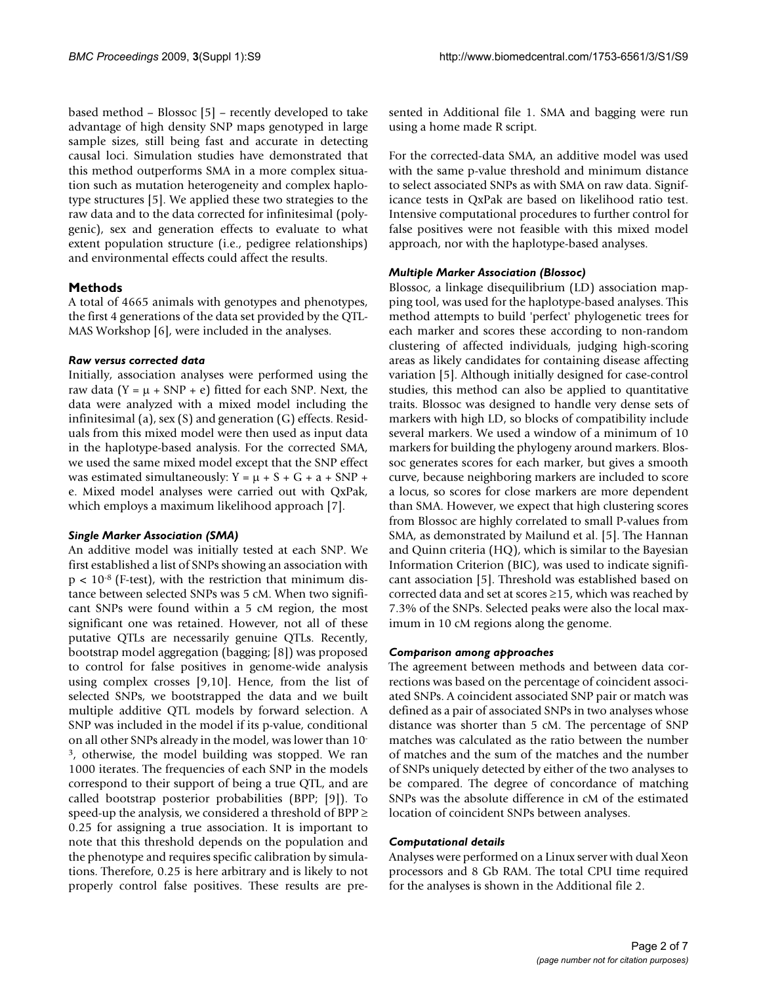based method – Blossoc [5] – recently developed to take advantage of high density SNP maps genotyped in large sample sizes, still being fast and accurate in detecting causal loci. Simulation studies have demonstrated that this method outperforms SMA in a more complex situation such as mutation heterogeneity and complex haplotype structures [5]. We applied these two strategies to the raw data and to the data corrected for infinitesimal (polygenic), sex and generation effects to evaluate to what extent population structure (i.e., pedigree relationships) and environmental effects could affect the results.

#### **Methods**

A total of 4665 animals with genotypes and phenotypes, the first 4 generations of the data set provided by the QTL-MAS Workshop [6], were included in the analyses.

#### *Raw versus corrected data*

Initially, association analyses were performed using the raw data (Y =  $\mu$  + SNP + e) fitted for each SNP. Next, the data were analyzed with a mixed model including the infinitesimal (a), sex (S) and generation (G) effects. Residuals from this mixed model were then used as input data in the haplotype-based analysis. For the corrected SMA, we used the same mixed model except that the SNP effect was estimated simultaneously:  $Y = \mu + S + G + a + SNP +$ e. Mixed model analyses were carried out with QxPak, which employs a maximum likelihood approach [7].

#### *Single Marker Association (SMA)*

An additive model was initially tested at each SNP. We first established a list of SNPs showing an association with  $p < 10^{-8}$  (F-test), with the restriction that minimum distance between selected SNPs was 5 cM. When two significant SNPs were found within a 5 cM region, the most significant one was retained. However, not all of these putative QTLs are necessarily genuine QTLs. Recently, bootstrap model aggregation (bagging; [8]) was proposed to control for false positives in genome-wide analysis using complex crosses [9,10]. Hence, from the list of selected SNPs, we bootstrapped the data and we built multiple additive QTL models by forward selection. A SNP was included in the model if its p-value, conditional on all other SNPs already in the model, was lower than 10- 3, otherwise, the model building was stopped. We ran 1000 iterates. The frequencies of each SNP in the models correspond to their support of being a true QTL, and are called bootstrap posterior probabilities (BPP; [9]). To speed-up the analysis, we considered a threshold of  $BPP \geq$ 0.25 for assigning a true association. It is important to note that this threshold depends on the population and the phenotype and requires specific calibration by simulations. Therefore, 0.25 is here arbitrary and is likely to not properly control false positives. These results are presented in Additional file 1. SMA and bagging were run using a home made R script.

For the corrected-data SMA, an additive model was used with the same p-value threshold and minimum distance to select associated SNPs as with SMA on raw data. Significance tests in QxPak are based on likelihood ratio test. Intensive computational procedures to further control for false positives were not feasible with this mixed model approach, nor with the haplotype-based analyses.

#### *Multiple Marker Association (Blossoc)*

Blossoc, a linkage disequilibrium (LD) association mapping tool, was used for the haplotype-based analyses. This method attempts to build 'perfect' phylogenetic trees for each marker and scores these according to non-random clustering of affected individuals, judging high-scoring areas as likely candidates for containing disease affecting variation [5]. Although initially designed for case-control studies, this method can also be applied to quantitative traits. Blossoc was designed to handle very dense sets of markers with high LD, so blocks of compatibility include several markers. We used a window of a minimum of 10 markers for building the phylogeny around markers. Blossoc generates scores for each marker, but gives a smooth curve, because neighboring markers are included to score a locus, so scores for close markers are more dependent than SMA. However, we expect that high clustering scores from Blossoc are highly correlated to small P-values from SMA, as demonstrated by Mailund et al. [5]. The Hannan and Quinn criteria (HQ), which is similar to the Bayesian Information Criterion (BIC), was used to indicate significant association [5]. Threshold was established based on corrected data and set at scores ≥15, which was reached by 7.3% of the SNPs. Selected peaks were also the local maximum in 10 cM regions along the genome.

#### *Comparison among approaches*

The agreement between methods and between data corrections was based on the percentage of coincident associated SNPs. A coincident associated SNP pair or match was defined as a pair of associated SNPs in two analyses whose distance was shorter than 5 cM. The percentage of SNP matches was calculated as the ratio between the number of matches and the sum of the matches and the number of SNPs uniquely detected by either of the two analyses to be compared. The degree of concordance of matching SNPs was the absolute difference in cM of the estimated location of coincident SNPs between analyses.

#### *Computational details*

Analyses were performed on a Linux server with dual Xeon processors and 8 Gb RAM. The total CPU time required for the analyses is shown in the Additional file 2.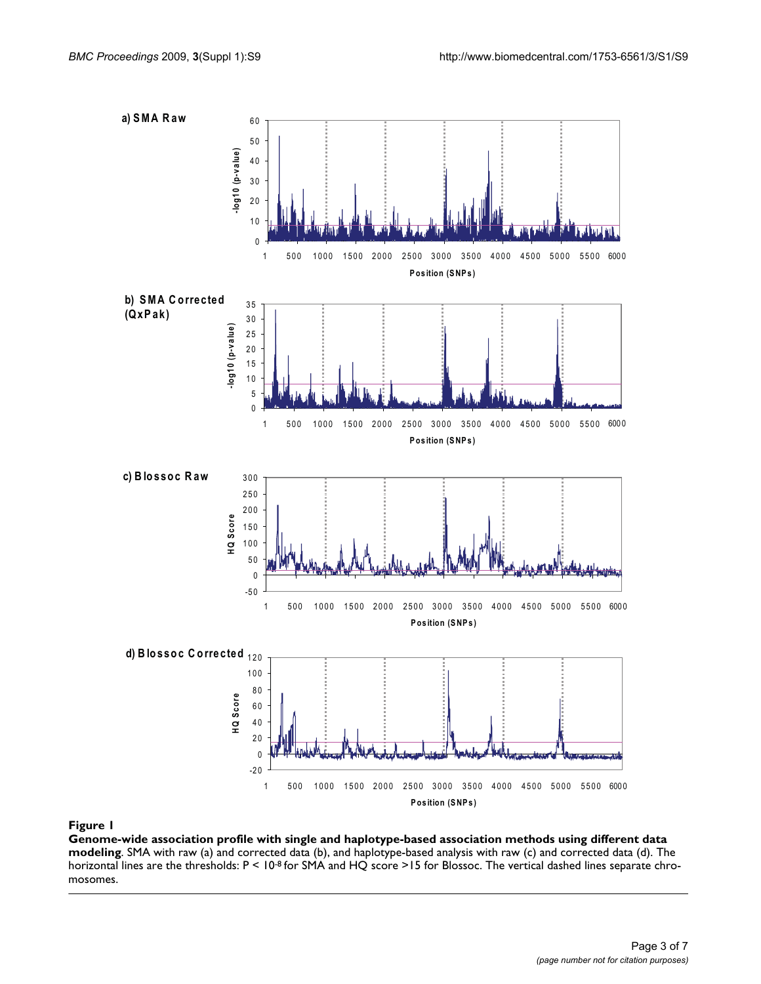

#### Genome-wide association profile **Figure 1** with single and haplotype-based association methods using different data modeling

**Genome-wide association profile with single and haplotype-based association methods using different data modeling**. SMA with raw (a) and corrected data (b), and haplotype-based analysis with raw (c) and corrected data (d). The horizontal lines are the thresholds:  $P < 10^{-8}$  for SMA and HQ score >15 for Blossoc. The vertical dashed lines separate chromosomes.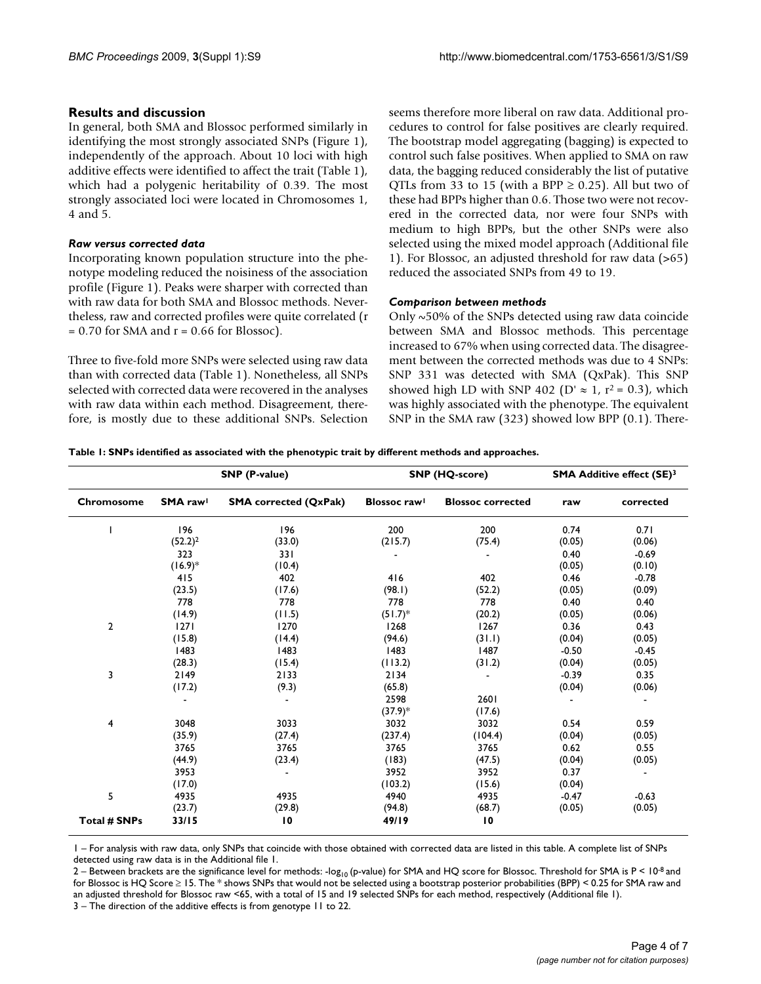#### **Results and discussion**

In general, both SMA and Blossoc performed similarly in identifying the most strongly associated SNPs (Figure 1), independently of the approach. About 10 loci with high additive effects were identified to affect the trait (Table 1), which had a polygenic heritability of 0.39. The most strongly associated loci were located in Chromosomes 1, 4 and 5.

#### *Raw versus corrected data*

Incorporating known population structure into the phenotype modeling reduced the noisiness of the association profile (Figure 1). Peaks were sharper with corrected than with raw data for both SMA and Blossoc methods. Nevertheless, raw and corrected profiles were quite correlated (r  $= 0.70$  for SMA and  $r = 0.66$  for Blossoc).

Three to five-fold more SNPs were selected using raw data than with corrected data (Table 1). Nonetheless, all SNPs selected with corrected data were recovered in the analyses with raw data within each method. Disagreement, therefore, is mostly due to these additional SNPs. Selection seems therefore more liberal on raw data. Additional procedures to control for false positives are clearly required. The bootstrap model aggregating (bagging) is expected to control such false positives. When applied to SMA on raw data, the bagging reduced considerably the list of putative QTLs from 33 to 15 (with a BPP  $\geq$  0.25). All but two of these had BPPs higher than 0.6. Those two were not recovered in the corrected data, nor were four SNPs with medium to high BPPs, but the other SNPs were also selected using the mixed model approach (Additional file 1). For Blossoc, an adjusted threshold for raw data (>65) reduced the associated SNPs from 49 to 19.

#### *Comparison between methods*

Only ~50% of the SNPs detected using raw data coincide between SMA and Blossoc methods. This percentage increased to 67% when using corrected data. The disagreement between the corrected methods was due to 4 SNPs: SNP 331 was detected with SMA (QxPak). This SNP showed high LD with SNP 402 (D'  $\approx$  1, r<sup>2</sup> = 0.3), which was highly associated with the phenotype. The equivalent SNP in the SMA raw (323) showed low BPP (0.1). There-

**Table 1: SNPs identified as associated with the phenotypic trait by different methods and approaches.**

| Chromosome          | <b>SNP</b> (P-value) |                              | <b>SNP (HQ-score)</b>           |                          | <b>SMA Additive effect (SE)3</b> |                |
|---------------------|----------------------|------------------------------|---------------------------------|--------------------------|----------------------------------|----------------|
|                     | SMA rawl             | <b>SMA</b> corrected (QxPak) | <b>Blossoc</b> raw <sup>1</sup> | <b>Blossoc corrected</b> | raw                              | corrected      |
|                     | 196                  | 196                          | 200                             | 200                      | 0.74                             | 0.71           |
|                     | $(52.2)^2$           | (33.0)                       | (215.7)                         | (75.4)                   | (0.05)                           | (0.06)         |
|                     | 323                  | 331                          |                                 |                          | 0.40                             | $-0.69$        |
|                     | $(16.9)*$            | (10.4)                       |                                 |                          | (0.05)                           | (0.10)         |
|                     | 415                  | 402                          | 416                             | 402                      | 0.46                             | $-0.78$        |
|                     | (23.5)               | (17.6)                       | (98.1)                          | (52.2)                   | (0.05)                           | (0.09)         |
|                     | 778                  | 778                          | 778                             | 778                      | 0.40                             | 0.40           |
|                     | (14.9)               | (11.5)                       | $(51.7)^*$                      | (20.2)                   | (0.05)                           | (0.06)         |
| $\overline{2}$      | 1271                 | 1270                         | 1268                            | 1267                     | 0.36                             | 0.43           |
|                     | (15.8)               | (14.4)                       | (94.6)                          | (31.1)                   | (0.04)                           | (0.05)         |
|                     | 1483                 | 1483                         | 1483                            | 1487                     | $-0.50$                          | $-0.45$        |
|                     | (28.3)               | (15.4)                       | (113.2)                         | (31.2)                   | (0.04)                           | (0.05)         |
| 3                   | 2149                 | 2133                         | 2134                            | $\blacksquare$           | $-0.39$                          | 0.35           |
|                     | (17.2)               | (9.3)                        | (65.8)                          |                          | (0.04)                           | (0.06)         |
|                     |                      |                              | 2598                            | 2601                     |                                  | $\blacksquare$ |
|                     |                      |                              | $(37.9)*$                       | (17.6)                   |                                  |                |
| 4                   | 3048                 | 3033                         | 3032                            | 3032                     | 0.54                             | 0.59           |
|                     | (35.9)               | (27.4)                       | (237.4)                         | (104.4)                  | (0.04)                           | (0.05)         |
|                     | 3765                 | 3765                         | 3765                            | 3765                     | 0.62                             | 0.55           |
|                     | (44.9)               | (23.4)                       | (183)                           | (47.5)                   | (0.04)                           | (0.05)         |
|                     | 3953                 | ٠                            | 3952                            | 3952                     | 0.37                             | $\blacksquare$ |
|                     | (17.0)               |                              | (103.2)                         | (15.6)                   | (0.04)                           |                |
| 5                   | 4935                 | 4935                         | 4940                            | 4935                     | $-0.47$                          | $-0.63$        |
|                     | (23.7)               | (29.8)                       | (94.8)                          | (68.7)                   | (0.05)                           | (0.05)         |
| <b>Total # SNPs</b> | 33/15                | $\overline{10}$              | 49/19                           | 10                       |                                  |                |

1 – For analysis with raw data, only SNPs that coincide with those obtained with corrected data are listed in this table. A complete list of SNPs detected using raw data is in the Additional file 1.

2 – Between brackets are the significance level for methods: -log<sub>10</sub> (p-value) for SMA and HQ score for Blossoc. Threshold for SMA is P < 10<sup>-8</sup> and for Blossoc is HQ Score ≥ 15. The \* shows SNPs that would not be selected using a bootstrap posterior probabilities (BPP) < 0.25 for SMA raw and an adjusted threshold for Blossoc raw <65, with a total of 15 and 19 selected SNPs for each method, respectively (Additional file 1).

3 – The direction of the additive effects is from genotype 11 to 22.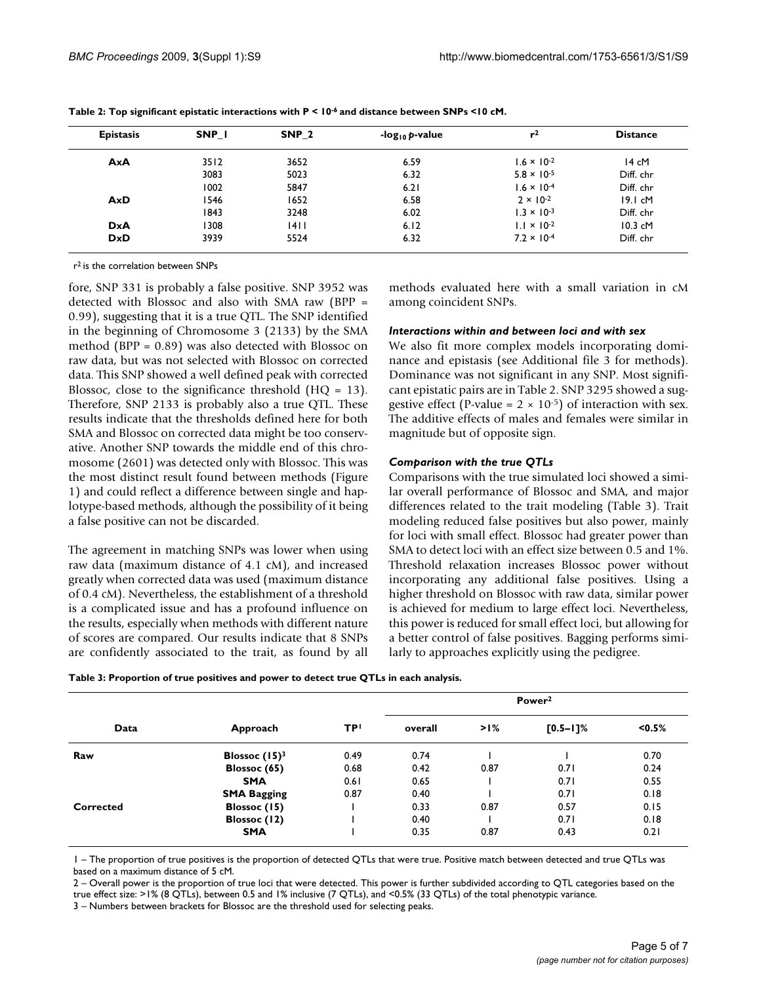| <b>Epistasis</b> | SNP I | SNP <sub>2</sub> | -log <sub>10</sub> p-value | r <sup>2</sup>       | <b>Distance</b> |
|------------------|-------|------------------|----------------------------|----------------------|-----------------|
| AxA              | 3512  | 3652             | 6.59                       | $1.6 \times 10^{-2}$ | 14 cM           |
|                  | 3083  | 5023             | 6.32                       | $5.8 \times 10^{-5}$ | Diff. chr       |
|                  | 1002  | 5847             | 6.21                       | $1.6 \times 10^{-4}$ | Diff. chr       |
| AxD              | 1546  | 1652             | 6.58                       | $2 \times 10^{-2}$   | 19.1 cM         |
|                  | 1843  | 3248             | 6.02                       | $1.3 \times 10^{-3}$ | Diff. chr       |
| <b>DxA</b>       | 1308  | 4                | 6.12                       | $1.1 \times 10^{-2}$ | $10.3$ cM       |
| <b>DxD</b>       | 3939  | 5524             | 6.32                       | $7.2 \times 10^{-4}$ | Diff. chr       |

**Table 2: Top significant epistatic interactions with P < 10-6 and distance between SNPs <10 cM.**

r2 is the correlation between SNPs

fore, SNP 331 is probably a false positive. SNP 3952 was detected with Blossoc and also with SMA raw (BPP = 0.99), suggesting that it is a true QTL. The SNP identified in the beginning of Chromosome 3 (2133) by the SMA method (BPP = 0.89) was also detected with Blossoc on raw data, but was not selected with Blossoc on corrected data. This SNP showed a well defined peak with corrected Blossoc, close to the significance threshold ( $HQ = 13$ ). Therefore, SNP 2133 is probably also a true QTL. These results indicate that the thresholds defined here for both SMA and Blossoc on corrected data might be too conservative. Another SNP towards the middle end of this chromosome (2601) was detected only with Blossoc. This was the most distinct result found between methods (Figure 1) and could reflect a difference between single and haplotype-based methods, although the possibility of it being a false positive can not be discarded.

The agreement in matching SNPs was lower when using raw data (maximum distance of 4.1 cM), and increased greatly when corrected data was used (maximum distance of 0.4 cM). Nevertheless, the establishment of a threshold is a complicated issue and has a profound influence on the results, especially when methods with different nature of scores are compared. Our results indicate that 8 SNPs are confidently associated to the trait, as found by all methods evaluated here with a small variation in cM among coincident SNPs.

#### *Interactions within and between loci and with sex*

We also fit more complex models incorporating dominance and epistasis (see Additional file 3 for methods). Dominance was not significant in any SNP. Most significant epistatic pairs are in Table 2. SNP 3295 showed a suggestive effect (P-value =  $2 \times 10^{-5}$ ) of interaction with sex. The additive effects of males and females were similar in magnitude but of opposite sign.

#### *Comparison with the true QTLs*

Comparisons with the true simulated loci showed a similar overall performance of Blossoc and SMA, and major differences related to the trait modeling (Table 3). Trait modeling reduced false positives but also power, mainly for loci with small effect. Blossoc had greater power than SMA to detect loci with an effect size between 0.5 and 1%. Threshold relaxation increases Blossoc power without incorporating any additional false positives. Using a higher threshold on Blossoc with raw data, similar power is achieved for medium to large effect loci. Nevertheless, this power is reduced for small effect loci, but allowing for a better control of false positives. Bagging performs similarly to approaches explicitly using the pedigree.

| Table 3: Proportion of true positives and power to detect true QTLs in each analysis. |  |  |
|---------------------------------------------------------------------------------------|--|--|
|---------------------------------------------------------------------------------------|--|--|

| Data      | Approach           |           | Power <sup>2</sup> |        |               |           |
|-----------|--------------------|-----------|--------------------|--------|---------------|-----------|
|           |                    | <b>TP</b> | overall            | $>1\%$ | $[0.5 - 1]$ % | $< 0.5\%$ |
| Raw       | Blossoc $(15)^3$   | 0.49      | 0.74               |        |               | 0.70      |
|           | Blossoc (65)       | 0.68      | 0.42               | 0.87   | 0.71          | 0.24      |
|           | <b>SMA</b>         | 0.61      | 0.65               |        | 0.71          | 0.55      |
|           | <b>SMA Bagging</b> | 0.87      | 0.40               |        | 0.71          | 0.18      |
| Corrected | Blossoc (15)       |           | 0.33               | 0.87   | 0.57          | 0.15      |
|           | Blossoc (12)       |           | 0.40               |        | 0.71          | 0.18      |
|           | <b>SMA</b>         |           | 0.35               | 0.87   | 0.43          | 0.21      |

1 – The proportion of true positives is the proportion of detected QTLs that were true. Positive match between detected and true QTLs was based on a maximum distance of 5 cM.

2 – Overall power is the proportion of true loci that were detected. This power is further subdivided according to QTL categories based on the true effect size: >1% (8 QTLs), between 0.5 and 1% inclusive (7 QTLs), and <0.5% (33 QTLs) of the total phenotypic variance.

3 – Numbers between brackets for Blossoc are the threshold used for selecting peaks.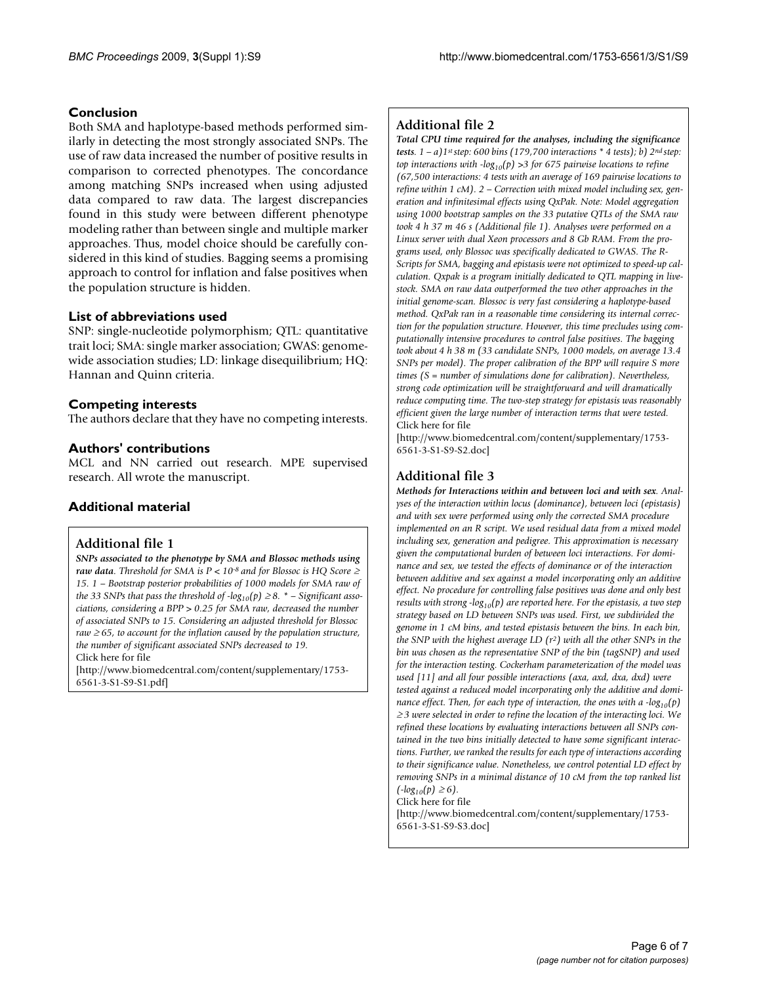#### **Conclusion**

Both SMA and haplotype-based methods performed similarly in detecting the most strongly associated SNPs. The use of raw data increased the number of positive results in comparison to corrected phenotypes. The concordance among matching SNPs increased when using adjusted data compared to raw data. The largest discrepancies found in this study were between different phenotype modeling rather than between single and multiple marker approaches. Thus, model choice should be carefully considered in this kind of studies. Bagging seems a promising approach to control for inflation and false positives when the population structure is hidden.

#### **List of abbreviations used**

SNP: single-nucleotide polymorphism; QTL: quantitative trait loci; SMA: single marker association; GWAS: genomewide association studies; LD: linkage disequilibrium; HQ: Hannan and Quinn criteria.

#### **Competing interests**

The authors declare that they have no competing interests.

#### **Authors' contributions**

MCL and NN carried out research. MPE supervised research. All wrote the manuscript.

### **Additional material**

#### **Additional file 1**

*SNPs associated to the phenotype by SMA and Blossoc methods using raw data. Threshold for SMA is P < 10-8 and for Blossoc is HQ Score* <sup>≥</sup> *15. 1 – Bootstrap posterior probabilities of 1000 models for SMA raw of the 33 SNPs that pass the threshold of -log*<sub>10</sub> $(p) \geq 8$ . \* – Significant asso*ciations, considering a BPP > 0.25 for SMA raw, decreased the number of associated SNPs to 15. Considering an adjusted threshold for Blossoc raw* ≥ *65, to account for the inflation caused by the population structure, the number of significant associated SNPs decreased to 19.* Click here for file

[\[http://www.biomedcentral.com/content/supplementary/1753-](http://www.biomedcentral.com/content/supplementary/1753-6561-3-S1-S9-S1.pdf) 6561-3-S1-S9-S1.pdf]

#### **Additional file 2**

*Total CPU time required for the analyses, including the significance tests. 1 – a)1st step: 600 bins (179,700 interactions \* 4 tests); b) 2nd step: top interactions with*  $-log_{10}(p) > 3$  *for 675 pairwise locations to refine (67,500 interactions: 4 tests with an average of 169 pairwise locations to refine within 1 cM). 2 – Correction with mixed model including sex, generation and infinitesimal effects using QxPak. Note: Model aggregation using 1000 bootstrap samples on the 33 putative QTLs of the SMA raw took 4 h 37 m 46 s (Additional file 1). Analyses were performed on a Linux server with dual Xeon processors and 8 Gb RAM. From the programs used, only Blossoc was specifically dedicated to GWAS. The R-Scripts for SMA, bagging and epistasis were not optimized to speed-up calculation. Qxpak is a program initially dedicated to QTL mapping in livestock. SMA on raw data outperformed the two other approaches in the initial genome-scan. Blossoc is very fast considering a haplotype-based method. QxPak ran in a reasonable time considering its internal correction for the population structure. However, this time precludes using computationally intensive procedures to control false positives. The bagging took about 4 h 38 m (33 candidate SNPs, 1000 models, on average 13.4 SNPs per model). The proper calibration of the BPP will require S more times (S = number of simulations done for calibration). Nevertheless, strong code optimization will be straightforward and will dramatically reduce computing time. The two-step strategy for epistasis was reasonably efficient given the large number of interaction terms that were tested.* Click here for file

[\[http://www.biomedcentral.com/content/supplementary/1753-](http://www.biomedcentral.com/content/supplementary/1753-6561-3-S1-S9-S2.doc) 6561-3-S1-S9-S2.doc]

### **Additional file 3**

*Methods for Interactions within and between loci and with sex. Analyses of the interaction within locus (dominance), between loci (epistasis) and with sex were performed using only the corrected SMA procedure implemented on an R script. We used residual data from a mixed model including sex, generation and pedigree. This approximation is necessary given the computational burden of between loci interactions. For dominance and sex, we tested the effects of dominance or of the interaction between additive and sex against a model incorporating only an additive effect. No procedure for controlling false positives was done and only best results with strong -log*<sub>10</sub> $(p)$  are reported here. For the epistasis, a two step *strategy based on LD between SNPs was used. First, we subdivided the genome in 1 cM bins, and tested epistasis between the bins. In each bin, the SNP with the highest average LD (r2) with all the other SNPs in the bin was chosen as the representative SNP of the bin (tagSNP) and used for the interaction testing. Cockerham parameterization of the model was used [11] and all four possible interactions (axa, axd, dxa, dxd) were tested against a reduced model incorporating only the additive and dominance effect. Then, for each type of interaction, the ones with a -log*<sub>10</sub>(p) <sup>≥</sup> *3 were selected in order to refine the location of the interacting loci. We refined these locations by evaluating interactions between all SNPs contained in the two bins initially detected to have some significant interactions. Further, we ranked the results for each type of interactions according to their significance value. Nonetheless, we control potential LD effect by removing SNPs in a minimal distance of 10 cM from the top ranked list*   $(-log_{10}(p) \ge 6)$ . Click here for file

[\[http://www.biomedcentral.com/content/supplementary/1753-](http://www.biomedcentral.com/content/supplementary/1753-6561-3-S1-S9-S3.doc) 6561-3-S1-S9-S3.doc]